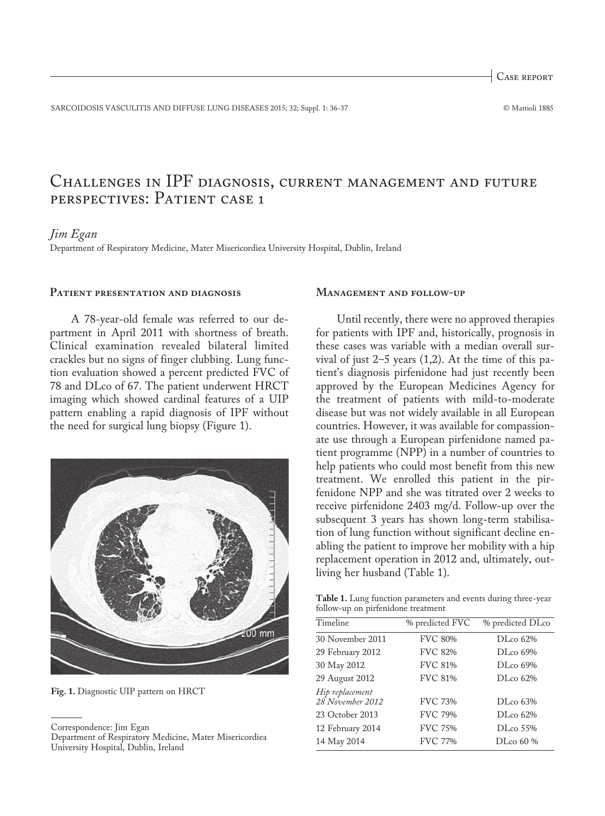Case report

SARCOIDOSIS VASCULITIS AND DIFFUSE LUNG DISEASES 2015; 32; Suppl. 1: 36-37 © Mattioli 1885

# Challenges in IPF diagnosis, current management and future perspectives: Patient case 1

# *Jim Egan*

Department of Respiratory Medicine, Mater Misericordiea University Hospital, Dublin, Ireland

#### **Patient presentation and diagnosis**

A 78-year-old female was referred to our department in April 2011 with shortness of breath. Clinical examination revealed bilateral limited crackles but no signs of finger clubbing. Lung function evaluation showed a percent predicted FVC of 78 and DLco of 67. The patient underwent HRCT imaging which showed cardinal features of a UIP pattern enabling a rapid diagnosis of IPF without the need for surgical lung biopsy (Figure 1).



**Fig. 1.** Diagnostic UIP pattern on HRCT

## **Management and follow-up**

Until recently, there were no approved therapies for patients with IPF and, historically, prognosis in these cases was variable with a median overall survival of just 2–5 years (1,2). At the time of this patient's diagnosis pirfenidone had just recently been approved by the European Medicines Agency for the treatment of patients with mild-to-moderate disease but was not widely available in all European countries. However, it was available for compassionate use through a European pirfenidone named patient programme (NPP) in a number of countries to help patients who could most benefit from this new treatment. We enrolled this patient in the pirfenidone NPP and she was titrated over 2 weeks to receive pirfenidone 2403 mg/d. Follow-up over the subsequent 3 years has shown long-term stabilisation of lung function without significant decline enabling the patient to improve her mobility with a hip replacement operation in 2012 and, ultimately, outliving her husband (Table 1).

**Table 1.** Lung function parameters and events during three-year follow-up on pirfenidone treatment

| Timeline                            | % predicted FVC | % predicted DLco |
|-------------------------------------|-----------------|------------------|
| 30 November 2011                    | <b>FVC 80%</b>  | DLco 62%         |
| 29 February 2012                    | <b>FVC 82%</b>  | DLco 69%         |
| 30 May 2012                         | <b>FVC 81%</b>  | $DI_{c0}$ 69%    |
| 29 August 2012                      | <b>FVC 81%</b>  | $DI_{c0}$ 62%    |
| Hip replacement<br>28 November 2012 | <b>FVC 73%</b>  | DLco 63%         |
| 23 October 2013                     | <b>FVC 79%</b>  | DLco 62%         |
| 12 February 2014                    | <b>FVC 75%</b>  | DLco 55%         |
| 14 May 2014                         | <b>FVC 77%</b>  | DLco 60 %        |
|                                     |                 |                  |

Correspondence: Jim Egan

Department of Respiratory Medicine, Mater Misericordiea University Hospital, Dublin, Ireland